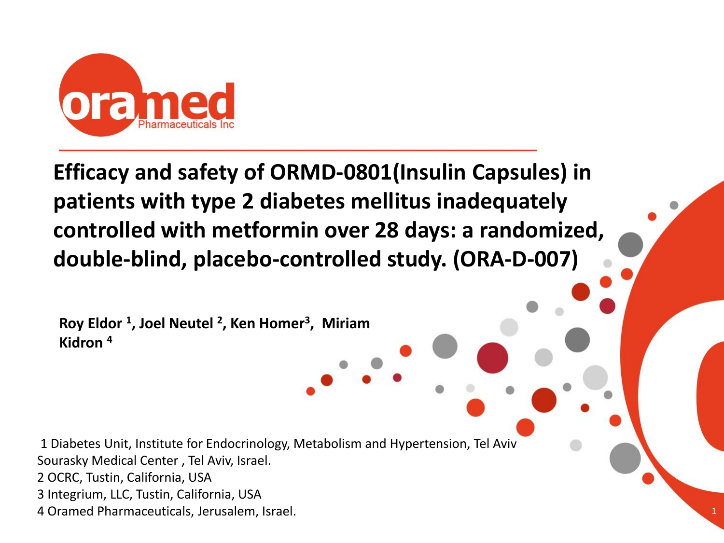

**Efficacy and safety of ORMD-0801(Insulin Capsules) in patients with type 2 diabetes mellitus inadequately controlled with metformin over 28 days: a randomized, double-blind, placebo-controlled study. (ORA-D-007)**

**Roy Eldor <sup>1</sup> , Joel Neutel <sup>2</sup> , Ken Homer<sup>3</sup> , Miriam Kidron <sup>4</sup>**

1 Diabetes Unit, Institute for Endocrinology, Metabolism and Hypertension, Tel Aviv Sourasky Medical Center , Tel Aviv, Israel. 2 OCRC, Tustin, California, USA 3 Integrium, LLC, Tustin, California, USA 4 Oramed Pharmaceuticals, Jerusalem, Israel.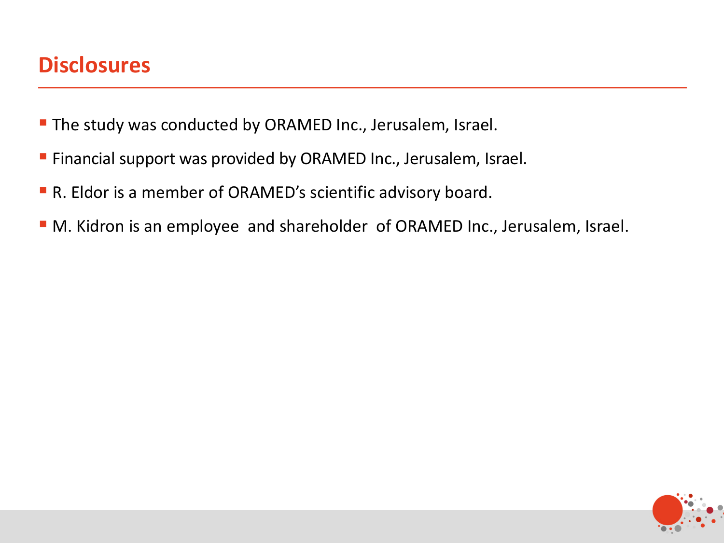### **Disclosures**

- **The study was conducted by ORAMED Inc., Jerusalem, Israel.**
- **Example 2** Financial support was provided by ORAMED Inc., Jerusalem, Israel.
- R. Eldor is a member of ORAMED's scientific advisory board.
- M. Kidron is an employee and shareholder of ORAMED Inc., Jerusalem, Israel.

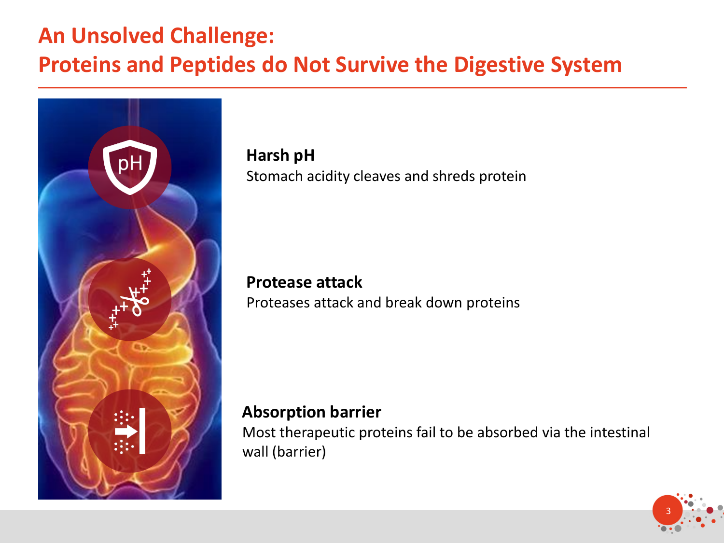## **An Unsolved Challenge:**

## **Proteins and Peptides do Not Survive the Digestive System**



**Harsh pH**  Stomach acidity cleaves and shreds protein

# **Protease attack**

Proteases attack and break down proteins

### **Absorption barrier**

Most therapeutic proteins fail to be absorbed via the intestinal wall (barrier)

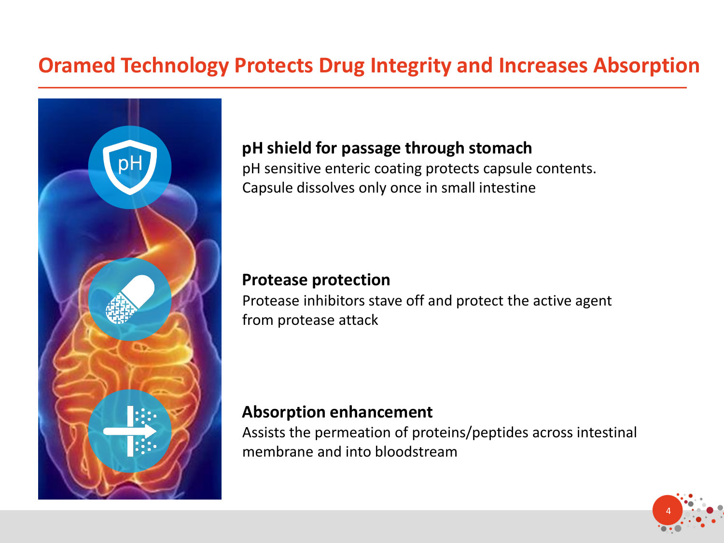### **Oramed Technology Protects Drug Integrity and Increases Absorption**



### **pH shield for passage through stomach**

pH sensitive enteric coating protects capsule contents. Capsule dissolves only once in small intestine

### **Protease protection**

Protease inhibitors stave off and protect the active agent from protease attack

### **Absorption enhancement**

Assists the permeation of proteins/peptides across intestinal membrane and into bloodstream

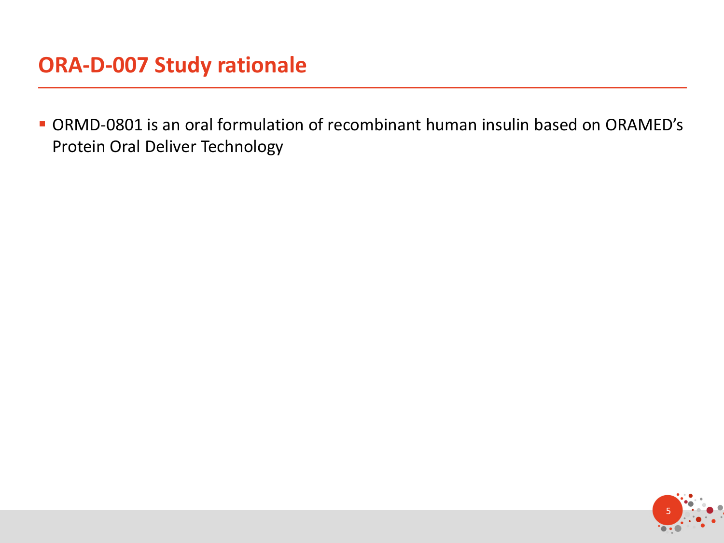▪ ORMD-0801 is an oral formulation of recombinant human insulin based on ORAMED's Protein Oral Deliver Technology

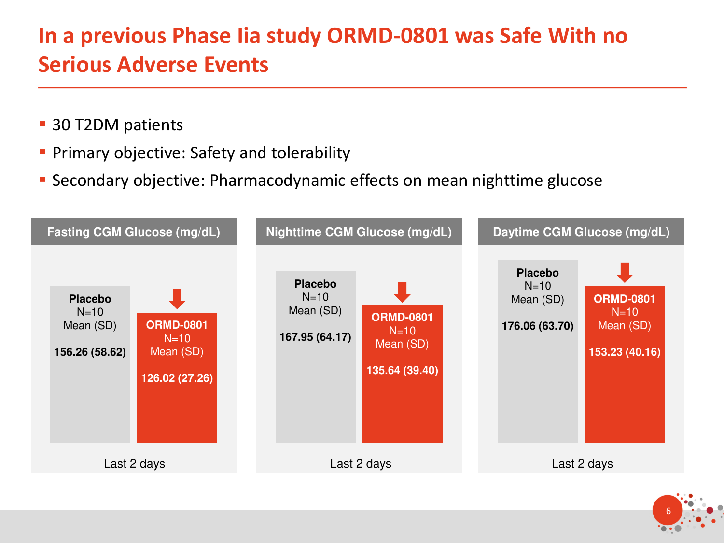# **In a previous Phase Iia study ORMD-0801 was Safe With no Serious Adverse Events**

- 30 T2DM patients
- **Primary objective: Safety and tolerability**
- Secondary objective: Pharmacodynamic effects on mean nighttime glucose



6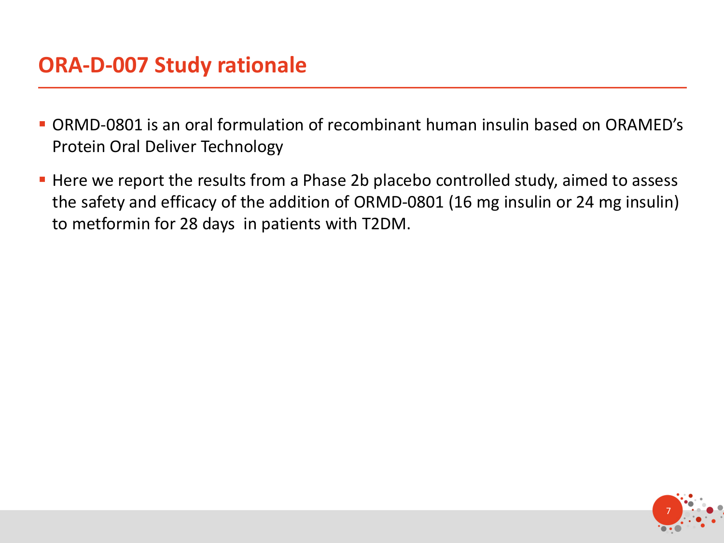### **ORA-D-007 Study rationale**

- ORMD-0801 is an oral formulation of recombinant human insulin based on ORAMED's Protein Oral Deliver Technology
- Here we report the results from a Phase 2b placebo controlled study, aimed to assess the safety and efficacy of the addition of ORMD-0801 (16 mg insulin or 24 mg insulin) to metformin for 28 days in patients with T2DM.

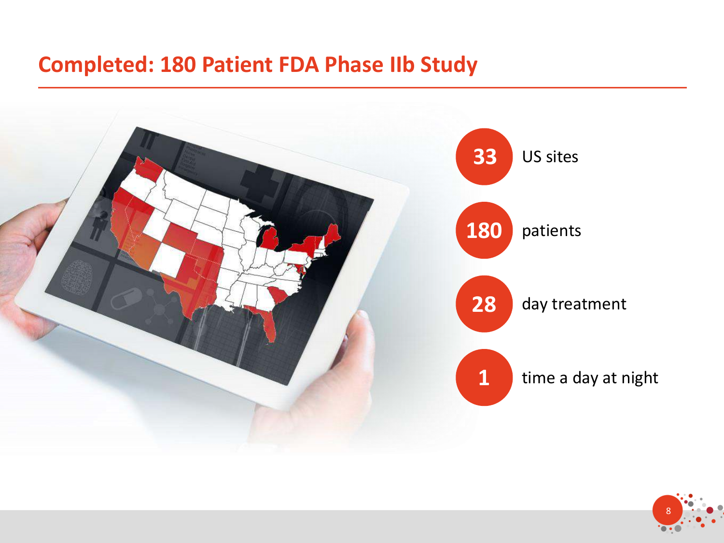### **Completed: 180 Patient FDA Phase IIb Study**



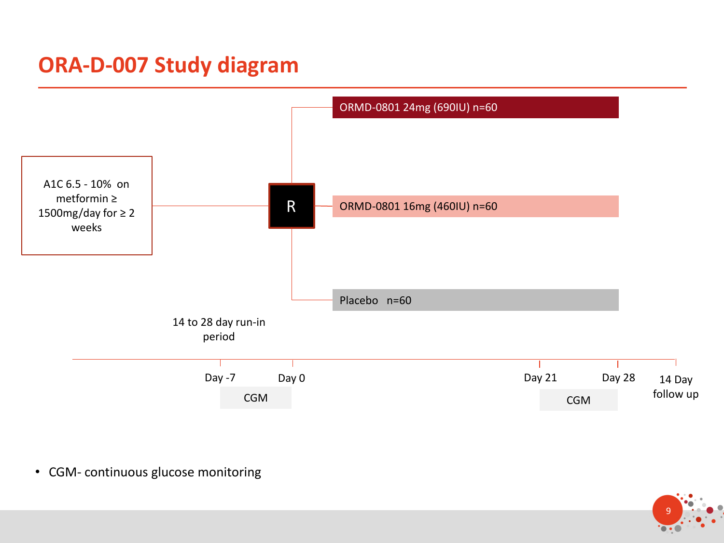# **ORA-D-007 Study diagram**



• CGM- continuous glucose monitoring

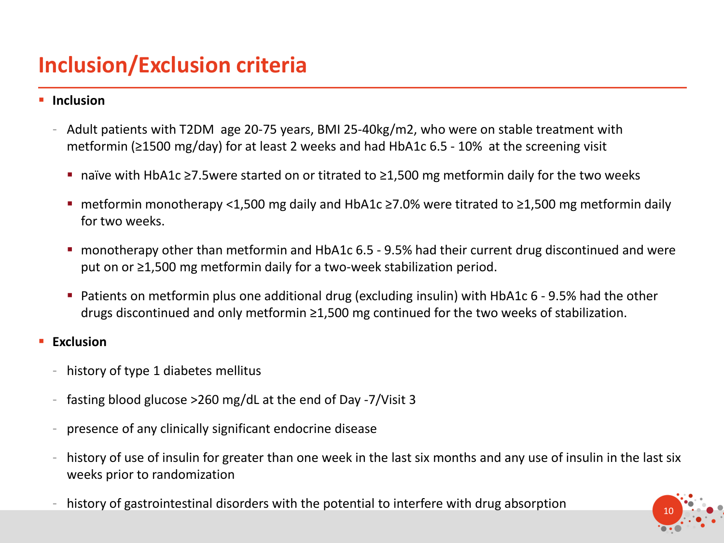## **Inclusion/Exclusion criteria**

#### ▪ **Inclusion**

- Adult patients with T2DM age 20-75 years, BMI 25-40kg/m2, who were on stable treatment with metformin (≥1500 mg/day) for at least 2 weeks and had HbA1c 6.5 - 10% at the screening visit
	- naïve with HbA1c ≥7.5were started on or titrated to ≥1,500 mg metformin daily for the two weeks
	- metformin monotherapy <1,500 mg daily and HbA1c ≥7.0% were titrated to ≥1,500 mg metformin daily for two weeks.
	- monotherapy other than metformin and HbA1c 6.5 9.5% had their current drug discontinued and were put on or ≥1,500 mg metformin daily for a two-week stabilization period.
	- Patients on metformin plus one additional drug (excluding insulin) with HbA1c 6 9.5% had the other drugs discontinued and only metformin ≥1,500 mg continued for the two weeks of stabilization.

#### ▪ **Exclusion**

- history of type 1 diabetes mellitus
- fasting blood glucose >260 mg/dL at the end of Day -7/Visit 3
- presence of any clinically significant endocrine disease
- history of use of insulin for greater than one week in the last six months and any use of insulin in the last six weeks prior to randomization
- history of gastrointestinal disorders with the potential to interfere with drug absorption

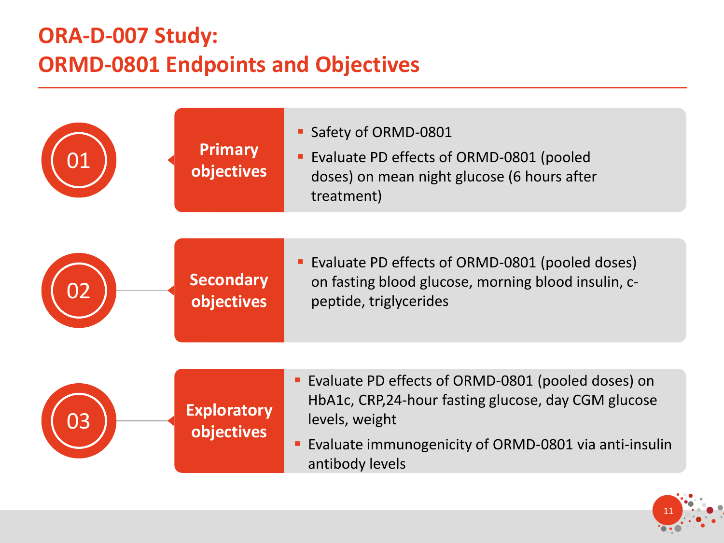# **ORA-D-007 Study: ORMD-0801 Endpoints and Objectives**

|    | <b>Primary</b><br>objectives     | Safety of ORMD-0801<br>• Evaluate PD effects of ORMD-0801 (pooled<br>doses) on mean night glucose (6 hours after<br>treatment)                                                                             |
|----|----------------------------------|------------------------------------------------------------------------------------------------------------------------------------------------------------------------------------------------------------|
|    | <b>Secondary</b><br>objectives   | Evaluate PD effects of ORMD-0801 (pooled doses)<br>on fasting blood glucose, morning blood insulin, c-<br>peptide, triglycerides                                                                           |
| )3 | <b>Exploratory</b><br>objectives | • Evaluate PD effects of ORMD-0801 (pooled doses) on<br>HbA1c, CRP, 24-hour fasting glucose, day CGM glucose<br>levels, weight<br>Evaluate immunogenicity of ORMD-0801 via anti-insulin<br>antibody levels |

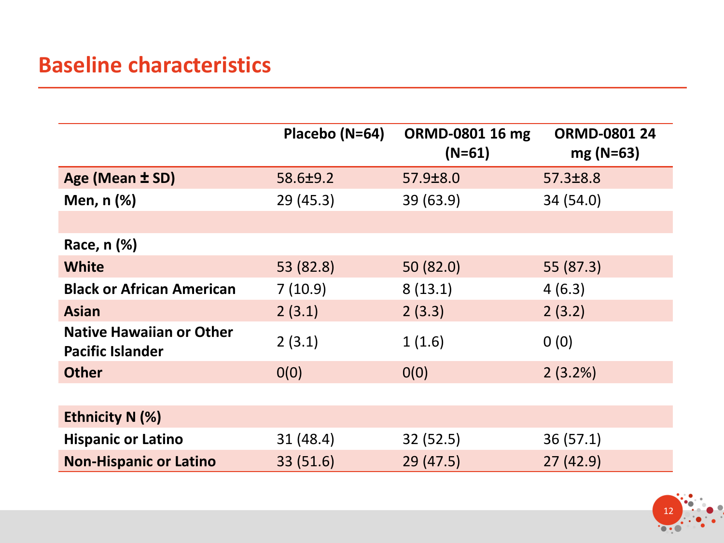## **Baseline characteristics**

|                                                            | Placebo (N=64) | ORMD-0801 16 mg<br>$(N=61)$ | <b>ORMD-0801 24</b><br>$mg(N=63)$ |
|------------------------------------------------------------|----------------|-----------------------------|-----------------------------------|
| Age (Mean ± SD)                                            | 58.6±9.2       | 57.9±8.0                    | 57.3±8.8                          |
| Men, $n$ $%$                                               | 29(45.3)       | 39 (63.9)                   | 34 (54.0)                         |
|                                                            |                |                             |                                   |
| Race, n (%)                                                |                |                             |                                   |
| <b>White</b>                                               | 53 (82.8)      | 50 (82.0)                   | 55 (87.3)                         |
| <b>Black or African American</b>                           | 7(10.9)        | 8(13.1)                     | 4(6.3)                            |
| <b>Asian</b>                                               | 2(3.1)         | 2(3.3)                      | 2(3.2)                            |
| <b>Native Hawaiian or Other</b><br><b>Pacific Islander</b> | 2(3.1)         | 1(1.6)                      | 0(0)                              |
| <b>Other</b>                                               | 0(0)           | 0(0)                        | 2(3.2%)                           |
|                                                            |                |                             |                                   |
| <b>Ethnicity N (%)</b>                                     |                |                             |                                   |
| <b>Hispanic or Latino</b>                                  | 31(48.4)       | 32(52.5)                    | 36(57.1)                          |
| <b>Non-Hispanic or Latino</b>                              | 33 (51.6)      | 29(47.5)                    | 27(42.9)                          |

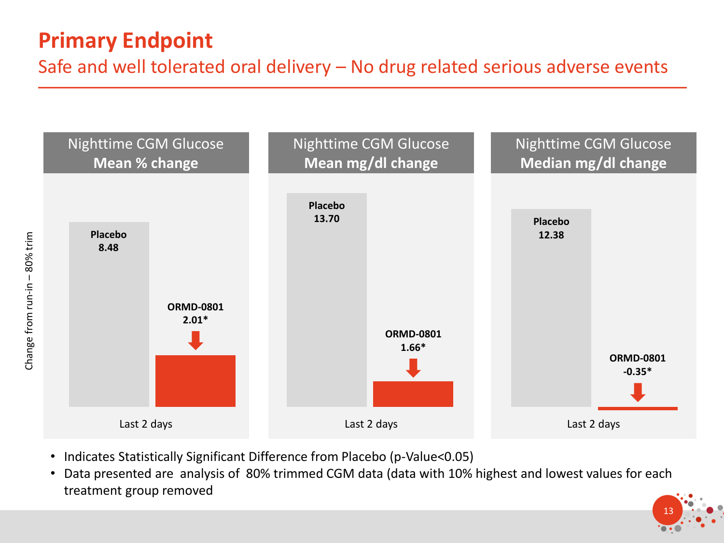# **Primary Endpoint**

Safe and well tolerated oral delivery – No drug related serious adverse events



- Indicates Statistically Significant Difference from Placebo (p-Value<0.05)
- Data presented are analysis of 80% trimmed CGM data (data with 10% highest and lowest values for each treatment group removed

13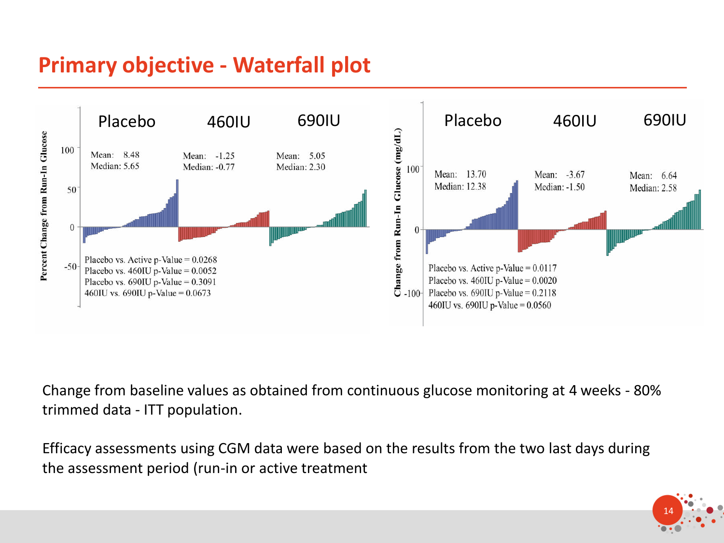# **Primary objective - Waterfall plot**



Change from baseline values as obtained from continuous glucose monitoring at 4 weeks - 80% trimmed data - ITT population.

Efficacy assessments using CGM data were based on the results from the two last days during the assessment period (run-in or active treatment

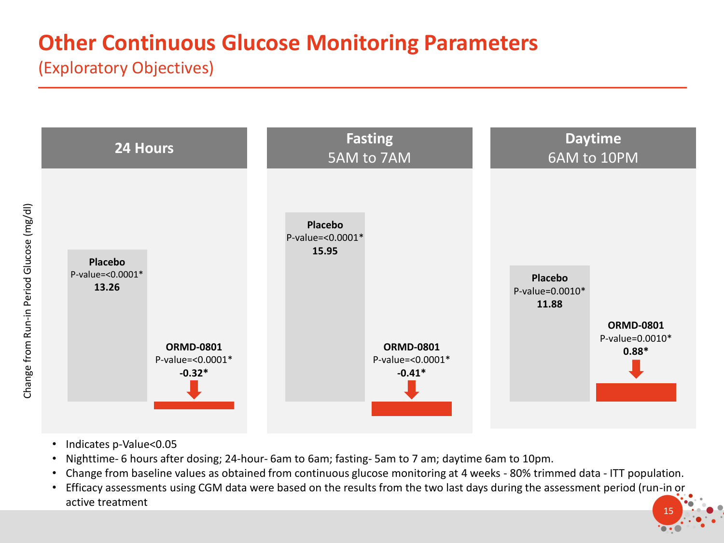# **Other Continuous Glucose Monitoring Parameters**

(Exploratory Objectives)



- Indicates p-Value<0.05
- Nighttime- 6 hours after dosing; 24-hour- 6am to 6am; fasting- 5am to 7 am; daytime 6am to 10pm.
- Change from baseline values as obtained from continuous glucose monitoring at 4 weeks 80% trimmed data ITT population.
- 15 • Efficacy assessments using CGM data were based on the results from the two last days during the assessment period (run-in or active treatment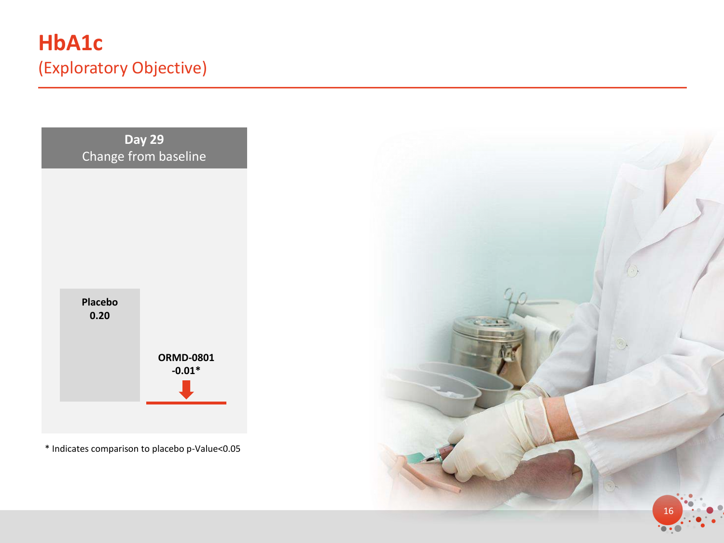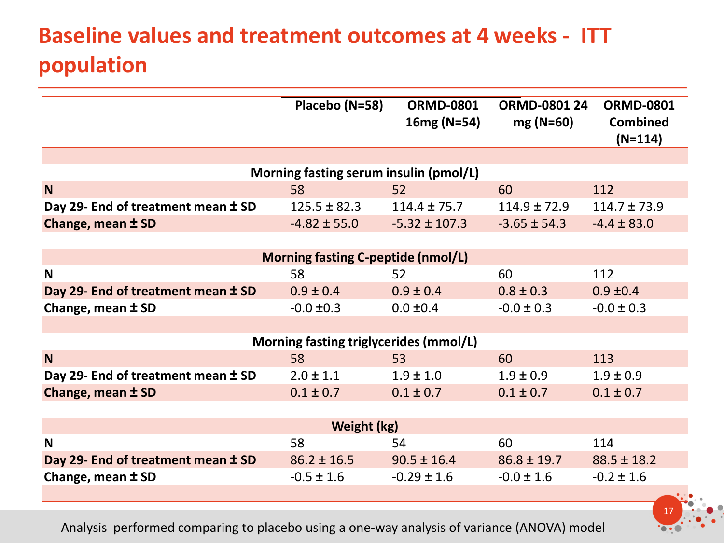# **Baseline values and treatment outcomes at 4 weeks - ITT population**

|                                           | Placebo (N=58)                         | <b>ORMD-0801</b><br>$16mg (N=54)$ | <b>ORMD-0801 24</b><br>$mg(N=60)$ | <b>ORMD-0801</b><br><b>Combined</b><br>$(N=114)$ |  |
|-------------------------------------------|----------------------------------------|-----------------------------------|-----------------------------------|--------------------------------------------------|--|
|                                           |                                        |                                   |                                   |                                                  |  |
|                                           | Morning fasting serum insulin (pmol/L) |                                   |                                   |                                                  |  |
| N                                         | 58                                     | 52                                | 60                                | 112                                              |  |
| Day 29- End of treatment mean ± SD        | $125.5 \pm 82.3$                       | $114.4 \pm 75.7$                  | $114.9 \pm 72.9$                  | $114.7 \pm 73.9$                                 |  |
| Change, mean ± SD                         | $-4.82 \pm 55.0$                       | $-5.32 \pm 107.3$                 | $-3.65 \pm 54.3$                  | $-4.4 \pm 83.0$                                  |  |
|                                           |                                        |                                   |                                   |                                                  |  |
| <b>Morning fasting C-peptide (nmol/L)</b> |                                        |                                   |                                   |                                                  |  |
| N                                         | 58                                     | 52                                | 60                                | 112                                              |  |
| Day 29- End of treatment mean ± SD        | $0.9 \pm 0.4$                          | $0.9 \pm 0.4$                     | $0.8 \pm 0.3$                     | $0.9 \pm 0.4$                                    |  |
| Change, mean $\pm$ SD                     | $-0.0 \pm 0.3$                         | $0.0 \pm 0.4$                     | $-0.0 \pm 0.3$                    | $-0.0 \pm 0.3$                                   |  |
|                                           |                                        |                                   |                                   |                                                  |  |
|                                           | Morning fasting triglycerides (mmol/L) |                                   |                                   |                                                  |  |
| N                                         | 58                                     | 53                                | 60                                | 113                                              |  |
| Day 29- End of treatment mean ± SD        | $2.0 \pm 1.1$                          | $1.9 \pm 1.0$                     | $1.9 \pm 0.9$                     | $1.9 \pm 0.9$                                    |  |
| Change, mean ± SD                         | $0.1 \pm 0.7$                          | $0.1 \pm 0.7$                     | $0.1 \pm 0.7$                     | $0.1 \pm 0.7$                                    |  |
|                                           |                                        |                                   |                                   |                                                  |  |
| Weight (kg)                               |                                        |                                   |                                   |                                                  |  |
| N                                         | 58                                     | 54                                | 60                                | 114                                              |  |
| Day 29- End of treatment mean ± SD        | $86.2 \pm 16.5$                        | $90.5 \pm 16.4$                   | $86.8 \pm 19.7$                   | $88.5 \pm 18.2$                                  |  |
| Change, mean $\pm$ SD                     | $-0.5 \pm 1.6$                         | $-0.29 \pm 1.6$                   | $-0.0 \pm 1.6$                    | $-0.2 \pm 1.6$                                   |  |
|                                           |                                        |                                   |                                   |                                                  |  |

Analysis performed comparing to placebo using a one-way analysis of variance (ANOVA) model

17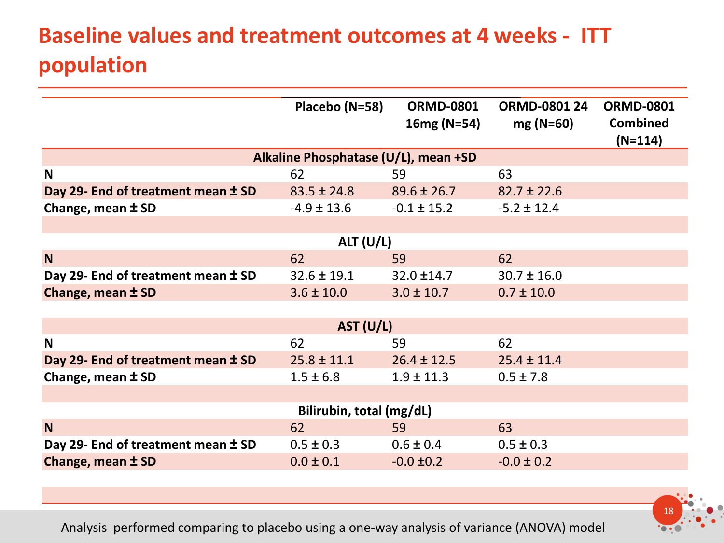# **Baseline values and treatment outcomes at 4 weeks - ITT population**

| Placebo (N=58)                       | <b>ORMD-0801</b><br>$16mg (N=54)$ | <b>ORMD-0801 24</b><br>$mg(N=60)$ | <b>ORMD-0801</b><br><b>Combined</b><br>$(N=114)$ |  |  |  |
|--------------------------------------|-----------------------------------|-----------------------------------|--------------------------------------------------|--|--|--|
| Alkaline Phosphatase (U/L), mean +SD |                                   |                                   |                                                  |  |  |  |
| 62                                   | 59                                | 63                                |                                                  |  |  |  |
| $83.5 \pm 24.8$                      | $89.6 \pm 26.7$                   | $82.7 \pm 22.6$                   |                                                  |  |  |  |
| $-4.9 \pm 13.6$                      | $-0.1 \pm 15.2$                   | $-5.2 \pm 12.4$                   |                                                  |  |  |  |
|                                      |                                   |                                   |                                                  |  |  |  |
| AIT (U/L)                            |                                   |                                   |                                                  |  |  |  |
| 62                                   | 59                                | 62                                |                                                  |  |  |  |
| $32.6 \pm 19.1$                      | $32.0 \pm 14.7$                   | $30.7 \pm 16.0$                   |                                                  |  |  |  |
| $3.6 \pm 10.0$                       | $3.0 \pm 10.7$                    | $0.7 \pm 10.0$                    |                                                  |  |  |  |
|                                      |                                   |                                   |                                                  |  |  |  |
|                                      |                                   |                                   |                                                  |  |  |  |
| 62                                   | 59                                | 62                                |                                                  |  |  |  |
| $25.8 \pm 11.1$                      | $26.4 \pm 12.5$                   | $25.4 \pm 11.4$                   |                                                  |  |  |  |
| $1.5 \pm 6.8$                        | $1.9 \pm 11.3$                    | $0.5 \pm 7.8$                     |                                                  |  |  |  |
|                                      |                                   |                                   |                                                  |  |  |  |
| Bilirubin, total (mg/dL)             |                                   |                                   |                                                  |  |  |  |
| 62                                   | 59                                | 63                                |                                                  |  |  |  |
| $0.5 \pm 0.3$                        | $0.6 \pm 0.4$                     | $0.5 \pm 0.3$                     |                                                  |  |  |  |
| $0.0 \pm 0.1$                        | $-0.0 \pm 0.2$                    | $-0.0 \pm 0.2$                    |                                                  |  |  |  |
|                                      |                                   | AST (U/L)                         |                                                  |  |  |  |

Analysis performed comparing to placebo using a one-way analysis of variance (ANOVA) model

18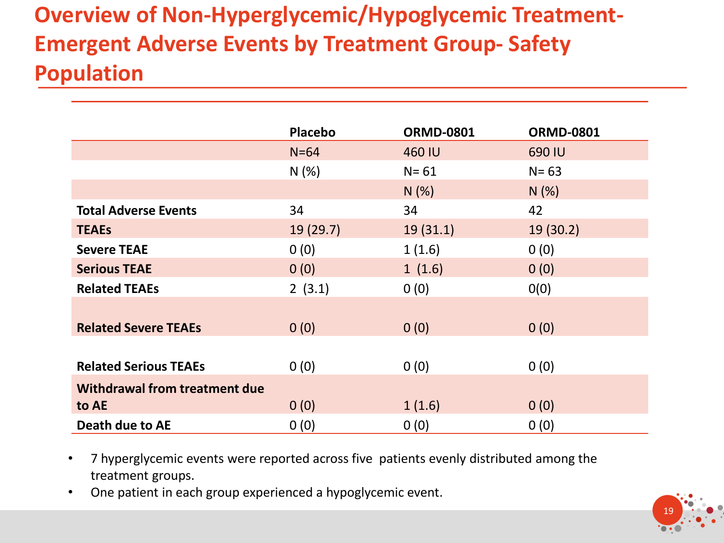# **Overview of Non-Hyperglycemic/Hypoglycemic Treatment-Emergent Adverse Events by Treatment Group- Safety Population**

|                               | <b>Placebo</b> | <b>ORMD-0801</b> | <b>ORMD-0801</b> |
|-------------------------------|----------------|------------------|------------------|
|                               | $N=64$         | 460 IU           | 690 IU           |
|                               | N(%)           | $N = 61$         | $N = 63$         |
|                               |                | N(%)             | N(%)             |
| <b>Total Adverse Events</b>   | 34             | 34               | 42               |
| <b>TEAEs</b>                  | 19 (29.7)      | 19(31.1)         | 19(30.2)         |
| <b>Severe TEAE</b>            | 0(0)           | 1(1.6)           | 0(0)             |
| <b>Serious TEAE</b>           | 0(0)           | 1(1.6)           | 0(0)             |
| <b>Related TEAEs</b>          | 2(3.1)         | 0(0)             | 0(0)             |
|                               |                |                  |                  |
| <b>Related Severe TEAEs</b>   | 0(0)           | 0(0)             | 0(0)             |
|                               |                |                  |                  |
| <b>Related Serious TEAEs</b>  | 0(0)           | 0(0)             | 0(0)             |
| Withdrawal from treatment due |                |                  |                  |
| to AE                         | 0(0)           | 1(1.6)           | 0(0)             |
| Death due to AE               | 0(0)           | 0(0)             | 0(0)             |

- 7 hyperglycemic events were reported across five patients evenly distributed among the treatment groups.
- One patient in each group experienced a hypoglycemic event.

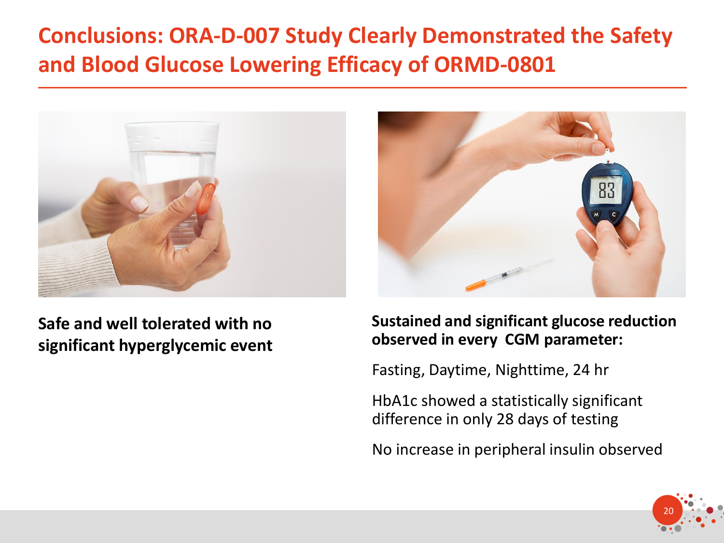# **Conclusions: ORA-D-007 Study Clearly Demonstrated the Safety and Blood Glucose Lowering Efficacy of ORMD-0801**



### **Safe and well tolerated with no significant hyperglycemic event**



### **Sustained and significant glucose reduction observed in every CGM parameter:**

Fasting, Daytime, Nighttime, 24 hr

HbA1c showed a statistically significant difference in only 28 days of testing

No increase in peripheral insulin observed

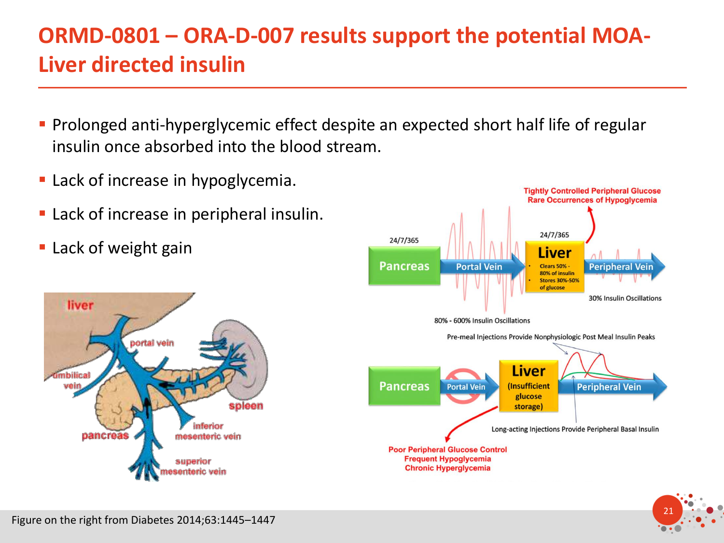# **ORMD-0801 – ORA-D-007 results support the potential MOA-Liver directed insulin**

- **Prolonged anti-hyperglycemic effect despite an expected short half life of regular** insulin once absorbed into the blood stream.
- Lack of increase in hypoglycemia.
- Lack of increase in peripheral insulin.
- Lack of weight gain